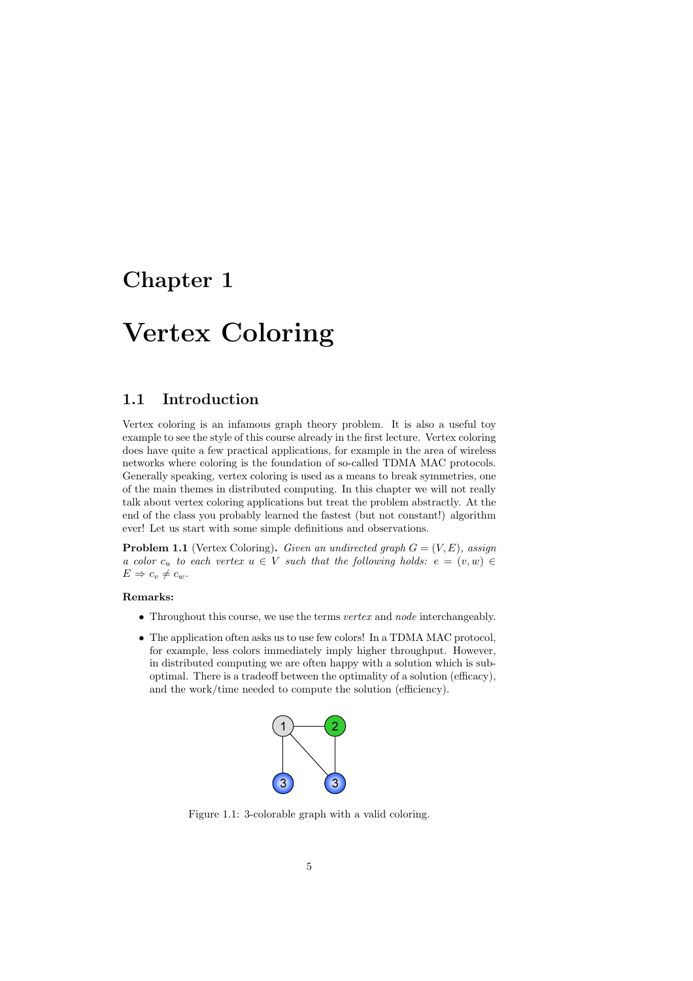## Chapter 1

# Vertex Coloring

### 1.1 Introduction

Vertex coloring is an infamous graph theory problem. It is also a useful toy example to see the style of this course already in the first lecture. Vertex coloring does have quite a few practical applications, for example in the area of wireless networks where coloring is the foundation of so-called TDMA MAC protocols. Generally speaking, vertex coloring is used as a means to break symmetries, one of the main themes in distributed computing. In this chapter we will not really talk about vertex coloring applications but treat the problem abstractly. At the end of the class you probably learned the fastest (but not constant!) algorithm ever! Let us start with some simple definitions and observations.

**Problem 1.1** (Vertex Coloring). Given an undirected graph  $G = (V, E)$ , assign a color  $c_u$  to each vertex  $u \in V$  such that the following holds:  $e = (v, w) \in$  $E \Rightarrow c_v \neq c_w$ .

- $\bullet$  Throughout this course, we use the terms vertex and node interchangeably.
- The application often asks us to use few colors! In a TDMA MAC protocol, for example, less colors immediately imply higher throughput. However, in distributed computing we are often happy with a solution which is suboptimal. There is a tradeoff between the optimality of a solution (efficacy), and the work/time needed to compute the solution (efficiency).



Figure 1.1: 3-colorable graph with a valid coloring.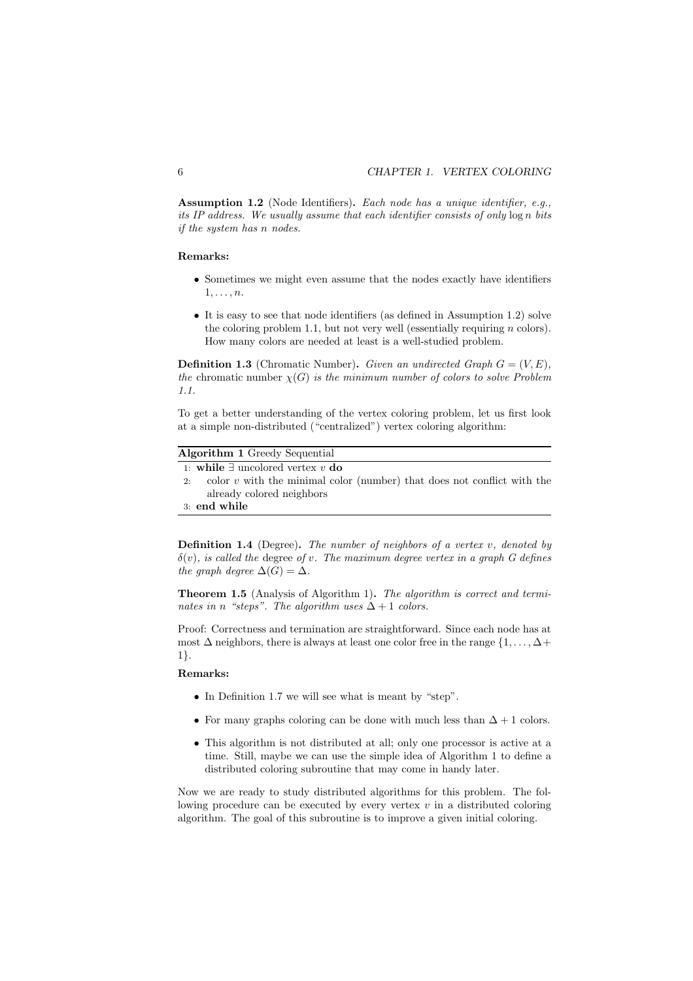Assumption 1.2 (Node Identifiers). Each node has a unique identifier, e.g., its IP address. We usually assume that each identifier consists of only log n bits if the system has n nodes.

#### Remarks:

- Sometimes we might even assume that the nodes exactly have identifiers 1,...,n.
- It is easy to see that node identifiers (as defined in Assumption 1.2) solve the coloring problem 1.1, but not very well (essentially requiring  $n$  colors). How many colors are needed at least is a well-studied problem.

**Definition 1.3** (Chromatic Number). Given an undirected Graph  $G = (V, E)$ , the chromatic number  $\chi(G)$  is the minimum number of colors to solve Problem 1.1.

To get a better understanding of the vertex coloring problem, let us first look at a simple non-distributed ("centralized") vertex coloring algorithm:

| <b>Algorithm 1 Greedy Sequential</b>     |  |                                                                           |  |  |  |  |  |
|------------------------------------------|--|---------------------------------------------------------------------------|--|--|--|--|--|
| 1: while $\exists$ uncolored vertex v do |  |                                                                           |  |  |  |  |  |
|                                          |  | color $v$ with the minimal color (number) that does not conflict with the |  |  |  |  |  |
|                                          |  | already colored neighbors                                                 |  |  |  |  |  |

3: end while

**Definition 1.4** (Degree). The number of neighbors of a vertex  $v$ , denoted by  $\delta(v)$ , is called the degree of v. The maximum degree vertex in a graph G defines the graph degree  $\Delta(G) = \Delta$ .

Theorem 1.5 (Analysis of Algorithm 1). The algorithm is correct and terminates in n "steps". The algorithm uses  $\Delta + 1$  colors.

Proof: Correctness and termination are straightforward. Since each node has at most  $\Delta$  neighbors, there is always at least one color free in the range  $\{1,\ldots,\Delta+\}$ 1}.

#### Remarks:

- In Definition 1.7 we will see what is meant by "step".
- For many graphs coloring can be done with much less than  $\Delta + 1$  colors.
- This algorithm is not distributed at all; only one processor is active at a time. Still, maybe we can use the simple idea of Algorithm 1 to define a distributed coloring subroutine that may come in handy later.

Now we are ready to study distributed algorithms for this problem. The following procedure can be executed by every vertex  $v$  in a distributed coloring algorithm. The goal of this subroutine is to improve a given initial coloring.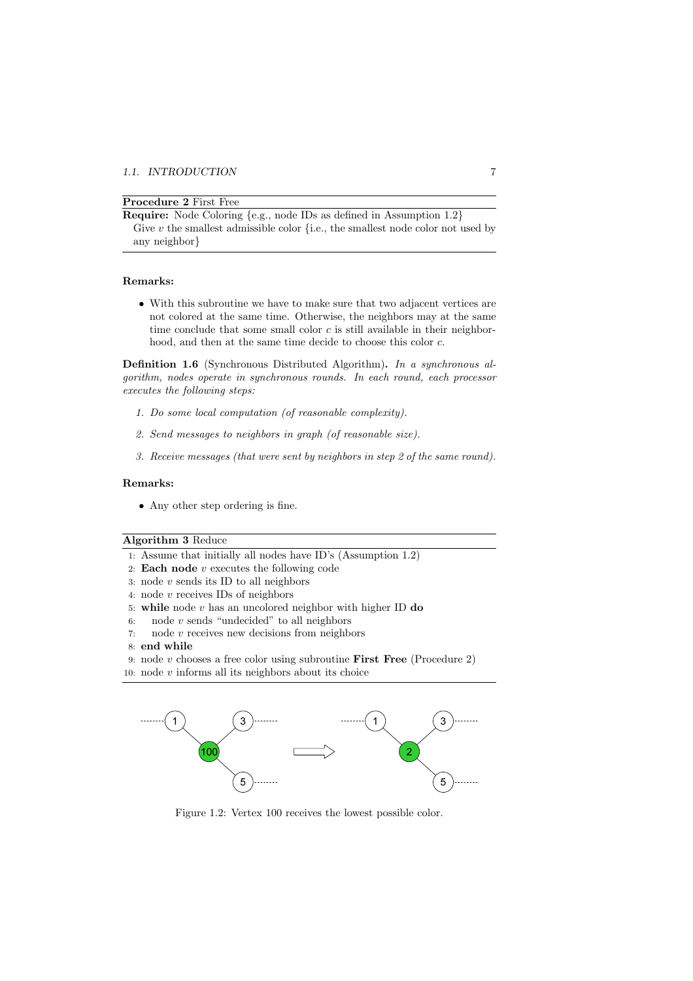#### Procedure 2 First Free

Require: Node Coloring {e.g., node IDs as defined in Assumption 1.2} Give  $v$  the smallest admissible color {i.e., the smallest node color not used by any neighbor}

#### Remarks:

• With this subroutine we have to make sure that two adjacent vertices are not colored at the same time. Otherwise, the neighbors may at the same time conclude that some small color  $c$  is still available in their neighborhood, and then at the same time decide to choose this color c.

Definition 1.6 (Synchronous Distributed Algorithm). In a synchronous algorithm, nodes operate in synchronous rounds. In each round, each processor executes the following steps:

- 1. Do some local computation (of reasonable complexity).
- 2. Send messages to neighbors in graph (of reasonable size).
- 3. Receive messages (that were sent by neighbors in step 2 of the same round).

#### Remarks:

• Any other step ordering is fine.

#### Algorithm 3 Reduce

- 1: Assume that initially all nodes have ID's (Assumption 1.2)
- 2: **Each node**  $v$  executes the following code
- 3: node  $v$  sends its ID to all neighbors
- 4: node v receives IDs of neighbors
- 5: while node  $v$  has an uncolored neighbor with higher ID do
- 6: node  $v$  sends "undecided" to all neighbors
- 7: node  $v$  receives new decisions from neighbors
- 8: end while
- 9: node  $v$  chooses a free color using subroutine **First Free** (Procedure 2)
- 10: node  $v$  informs all its neighbors about its choice



Figure 1.2: Vertex 100 receives the lowest possible color.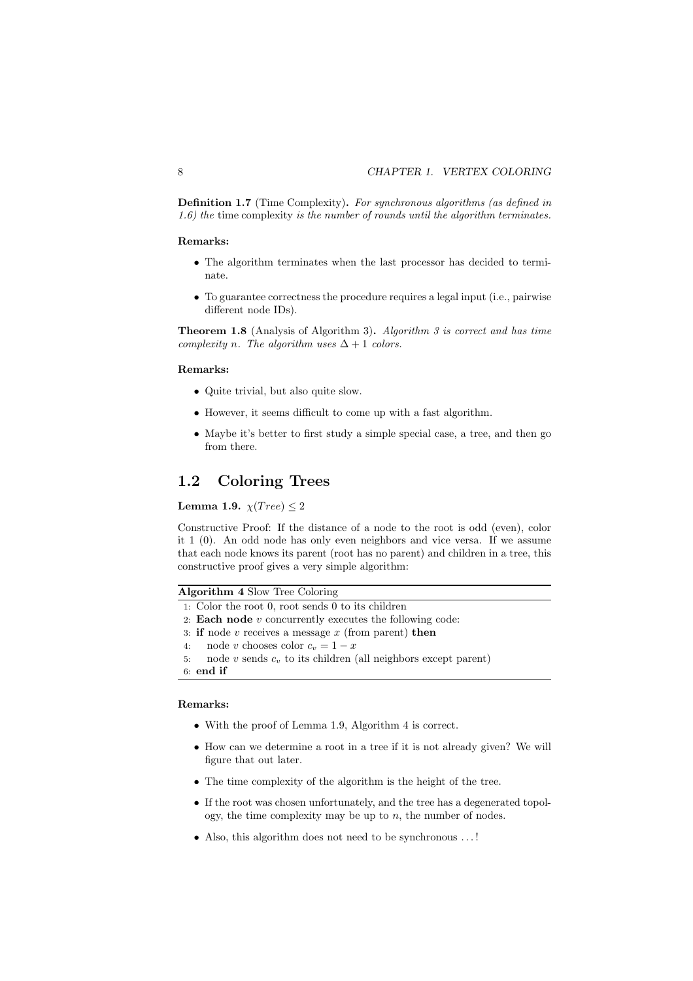Definition 1.7 (Time Complexity). For synchronous algorithms (as defined in 1.6) the time complexity is the number of rounds until the algorithm terminates.

#### Remarks:

- The algorithm terminates when the last processor has decided to terminate.
- To guarantee correctness the procedure requires a legal input (i.e., pairwise different node IDs).

**Theorem 1.8** (Analysis of Algorithm 3). Algorithm 3 is correct and has time complexity n. The algorithm uses  $\Delta + 1$  colors.

#### Remarks:

- Quite trivial, but also quite slow.
- However, it seems difficult to come up with a fast algorithm.
- Maybe it's better to first study a simple special case, a tree, and then go from there.

### 1.2 Coloring Trees

Lemma 1.9.  $\chi(Tree) < 2$ 

Constructive Proof: If the distance of a node to the root is odd (even), color it 1 (0). An odd node has only even neighbors and vice versa. If we assume that each node knows its parent (root has no parent) and children in a tree, this constructive proof gives a very simple algorithm:

Algorithm 4 Slow Tree Coloring

- 1: Color the root 0, root sends 0 to its children
- 2: **Each node**  $v$  concurrently executes the following code:
- 3: if node  $v$  receives a message  $x$  (from parent) then
- 4: node v chooses color  $c_v = 1 x$ <br>5: node v sends  $c_v$  to its children (
- node  $v$  sends  $c_v$  to its children (all neighbors except parent)

6: end if

- With the proof of Lemma 1.9, Algorithm 4 is correct.
- How can we determine a root in a tree if it is not already given? We will figure that out later.
- The time complexity of the algorithm is the height of the tree.
- If the root was chosen unfortunately, and the tree has a degenerated topology, the time complexity may be up to  $n$ , the number of nodes.
- Also, this algorithm does not need to be synchronous ...!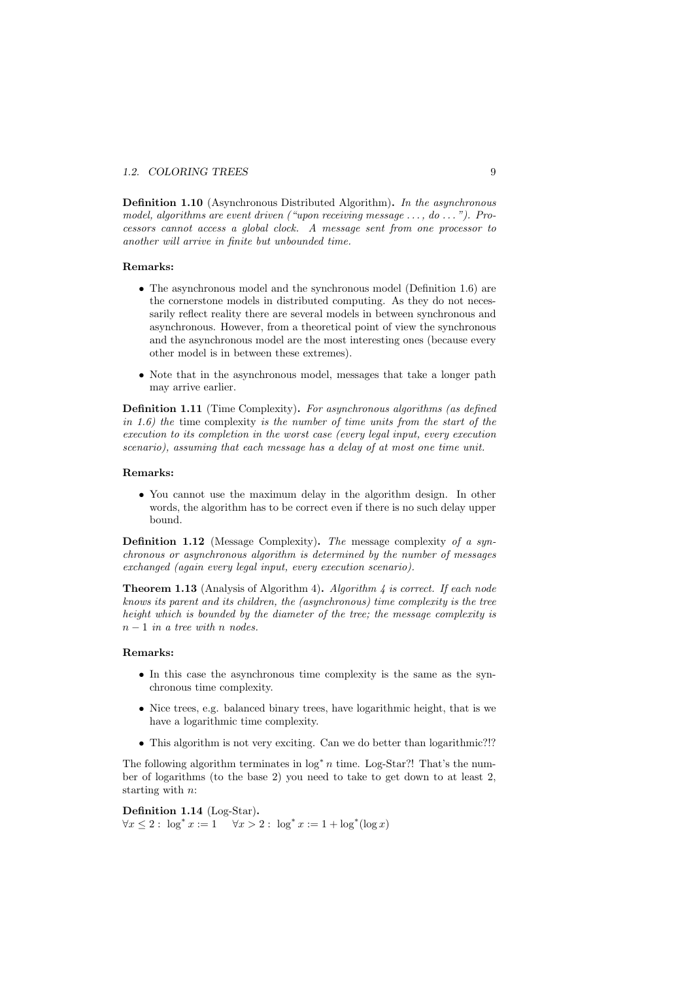#### 1.2. COLORING TREES 9

Definition 1.10 (Asynchronous Distributed Algorithm). In the asynchronous model, algorithms are event driven ("upon receiving message  $\dots$ , do  $\dots$ "). Processors cannot access a global clock. A message sent from one processor to another will arrive in finite but unbounded time.

#### Remarks:

- The asynchronous model and the synchronous model (Definition 1.6) are the cornerstone models in distributed computing. As they do not necessarily reflect reality there are several models in between synchronous and asynchronous. However, from a theoretical point of view the synchronous and the asynchronous model are the most interesting ones (because every other model is in between these extremes).
- Note that in the asynchronous model, messages that take a longer path may arrive earlier.

Definition 1.11 (Time Complexity). For asynchronous algorithms (as defined in 1.6) the time complexity is the number of time units from the start of the execution to its completion in the worst case (every legal input, every execution scenario), assuming that each message has a delay of at most one time unit.

#### Remarks:

• You cannot use the maximum delay in the algorithm design. In other words, the algorithm has to be correct even if there is no such delay upper bound.

Definition 1.12 (Message Complexity). The message complexity of a synchronous or asynchronous algorithm is determined by the number of messages exchanged (again every legal input, every execution scenario).

**Theorem 1.13** (Analysis of Algorithm 4). Algorithm 4 is correct. If each node knows its parent and its children, the (asynchronous) time complexity is the tree height which is bounded by the diameter of the tree; the message complexity is  $n-1$  in a tree with n nodes.

#### Remarks:

- In this case the asynchronous time complexity is the same as the synchronous time complexity.
- Nice trees, e.g. balanced binary trees, have logarithmic height, that is we have a logarithmic time complexity.
- This algorithm is not very exciting. Can we do better than logarithmic?!?

The following algorithm terminates in  $\log^* n$  time. Log-Star?! That's the number of logarithms (to the base 2) you need to take to get down to at least 2, starting with n:

Definition 1.14 (Log-Star).  $\forall x \leq 2 : \log^* x := 1 \quad \forall x > 2 : \log^* x := 1 + \log^* (\log x)$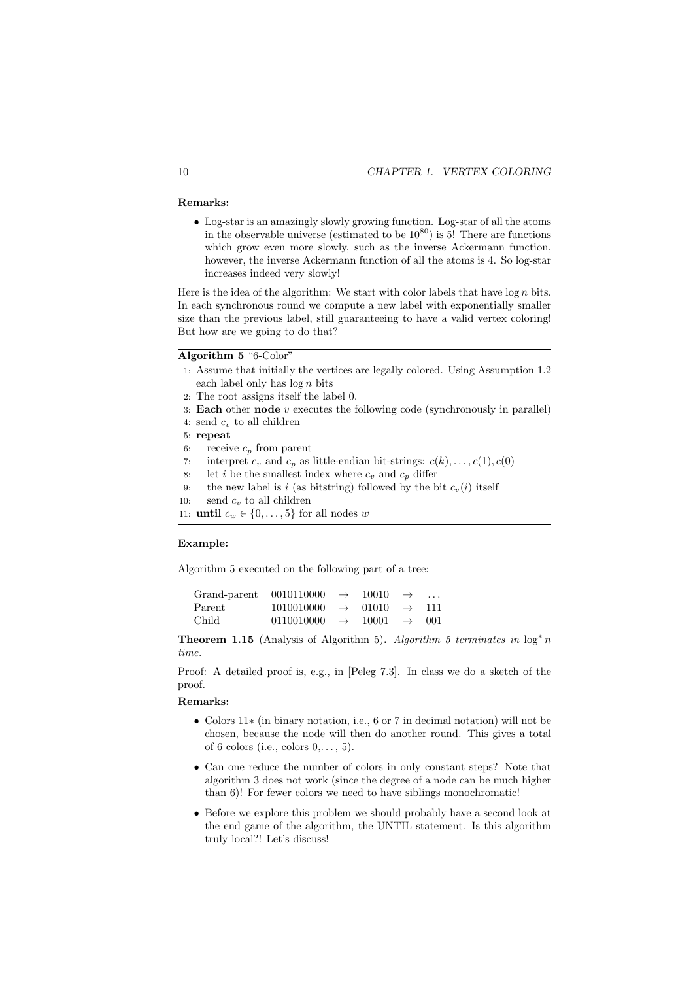#### Remarks:

• Log-star is an amazingly slowly growing function. Log-star of all the atoms in the observable universe (estimated to be  $10^{80}$ ) is 5! There are functions which grow even more slowly, such as the inverse Ackermann function, however, the inverse Ackermann function of all the atoms is 4. So log-star increases indeed very slowly!

Here is the idea of the algorithm: We start with color labels that have  $\log n$  bits. In each synchronous round we compute a new label with exponentially smaller size than the previous label, still guaranteeing to have a valid vertex coloring! But how are we going to do that?

#### Algorithm 5 "6-Color"

- 1: Assume that initially the vertices are legally colored. Using Assumption 1.2 each label only has  $\log n$  bits
- 2: The root assigns itself the label 0.
- 3: Each other node  $v$  executes the following code (synchronously in parallel)
- 4: send  $c_v$  to all children
- 5: repeat
- 6: receive  $c_p$  from parent
- 7: interpret  $c_v$  and  $c_p$  as little-endian bit-strings:  $c(k), \ldots, c(1), c(0)$
- 8: let i be the smallest index where  $c_v$  and  $c_p$  differ
- 9: the new label is i (as bitstring) followed by the bit  $c_v(i)$  itself
- 10: send  $c_v$  to all children

11: **until**  $c_w \in \{0, \ldots, 5\}$  for all nodes w

#### Example:

Algorithm 5 executed on the following part of a tree:

| Grand-parent $0010110000 \rightarrow$ |                                                | $10010 \rightarrow$     | $\cdots$ |
|---------------------------------------|------------------------------------------------|-------------------------|----------|
| Parent                                | $1010010000 \rightarrow 01010 \rightarrow 111$ |                         |          |
| Child                                 | $0110010000 \rightarrow$                       | $10001 \rightarrow 001$ |          |

**Theorem 1.15** (Analysis of Algorithm 5). Algorithm 5 terminates in  $\log^* n$ time.

Proof: A detailed proof is, e.g., in [Peleg 7.3]. In class we do a sketch of the proof.

- Colors 11∗ (in binary notation, i.e., 6 or 7 in decimal notation) will not be chosen, because the node will then do another round. This gives a total of 6 colors (i.e., colors  $0, \ldots, 5$ ).
- Can one reduce the number of colors in only constant steps? Note that algorithm 3 does not work (since the degree of a node can be much higher than 6)! For fewer colors we need to have siblings monochromatic!
- Before we explore this problem we should probably have a second look at the end game of the algorithm, the UNTIL statement. Is this algorithm truly local?! Let's discuss!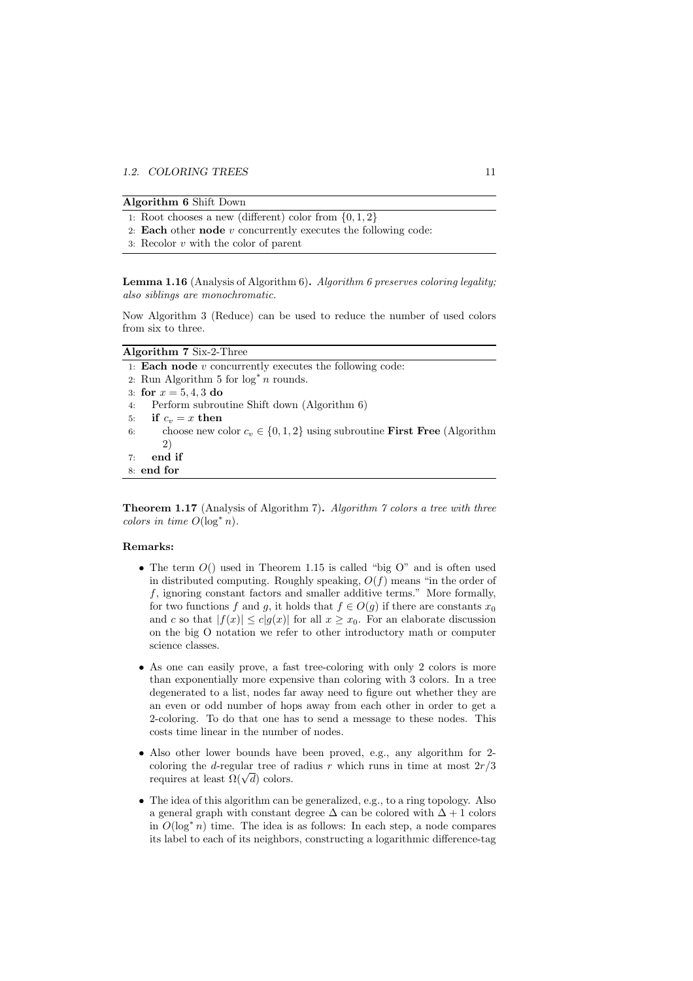- 1: Root chooses a new (different) color from  $\{0, 1, 2\}$
- 2: Each other node  $v$  concurrently executes the following code:
- 3: Recolor v with the color of parent

Lemma 1.16 (Analysis of Algorithm 6). Algorithm 6 preserves coloring legality; also siblings are monochromatic.

Now Algorithm 3 (Reduce) can be used to reduce the number of used colors from six to three.

Theorem 1.17 (Analysis of Algorithm 7). Algorithm 7 colors a tree with three colors in time  $O(\log^* n)$ .

- The term  $O($ ) used in Theorem 1.15 is called "big  $O$ " and is often used in distributed computing. Roughly speaking,  $O(f)$  means "in the order of f, ignoring constant factors and smaller additive terms." More formally, for two functions f and q, it holds that  $f \in O(q)$  if there are constants  $x_0$ and c so that  $|f(x)| \le c|g(x)|$  for all  $x \ge x_0$ . For an elaborate discussion on the big O notation we refer to other introductory math or computer science classes.
- As one can easily prove, a fast tree-coloring with only 2 colors is more than exponentially more expensive than coloring with 3 colors. In a tree degenerated to a list, nodes far away need to figure out whether they are an even or odd number of hops away from each other in order to get a 2-coloring. To do that one has to send a message to these nodes. This costs time linear in the number of nodes.
- Also other lower bounds have been proved, e.g., any algorithm for 2 coloring the d-regular tree of radius r which runs in time at most  $2r/3$ requires at least  $\Omega(\sqrt{d})$  colors.
- The idea of this algorithm can be generalized, e.g., to a ring topology. Also a general graph with constant degree  $\Delta$  can be colored with  $\Delta + 1$  colors in  $O(\log^* n)$  time. The idea is as follows: In each step, a node compares its label to each of its neighbors, constructing a logarithmic difference-tag